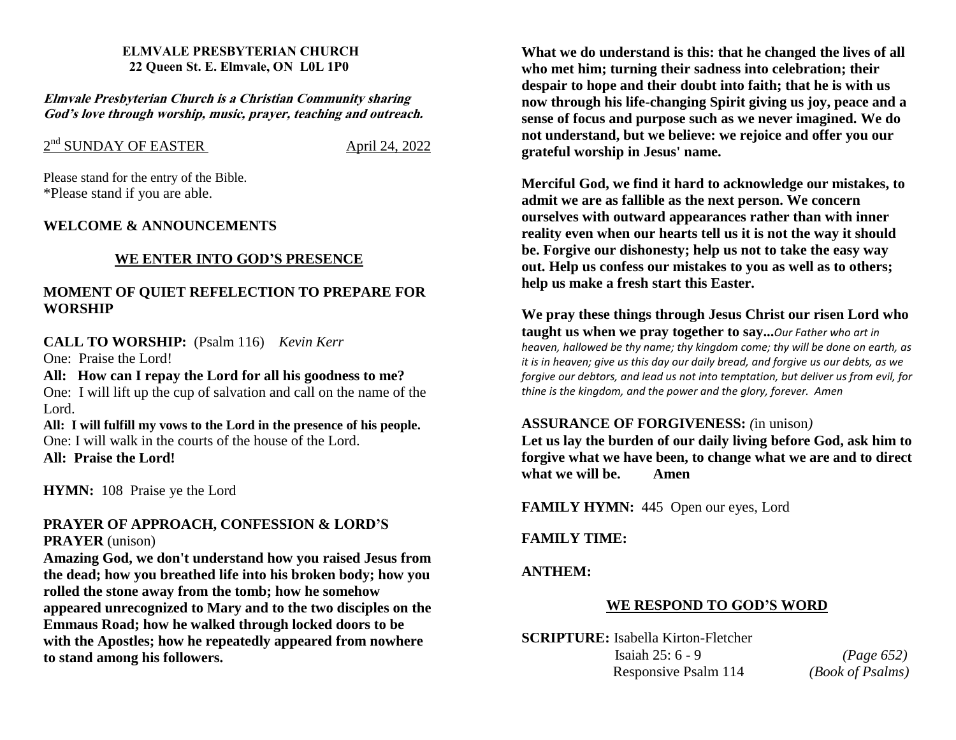#### **ELMVALE PRESBYTERIAN CHURCH 22 Queen St. E. Elmvale, ON L0L 1P0**

**Elmvale Presbyterian Church is <sup>a</sup> Christian Community sharing God'<sup>s</sup> love through worship, music, prayer, teaching and outreach.**

# 2<sup>nd</sup> SUNDAY OF EASTER<br>April 24, 2022

Please stand for the entry of the Bible. \*Please stand if you are able.

## **WELCOME & ANNOUNCEMENTS**

## **WE ENTER INTO GOD'S PRESENCE**

## **MOMENT OF QUIET REFELECTION TO PREPARE FOR WORSHIP**

## **CALL TO WORSHIP:** (Psalm 116) *Kevin Kerr*

One: Praise the Lord!

**All: How can I repay the Lord for all his goodness to me?** One: I will lift up the cup of salvation and call on the name of the Lord.

**All: I will fulfill my vows to the Lord in the presence of his people.** One: I will walk in the courts of the house of the Lord. **All: Praise the Lord!**

**HYMN:** 108 Praise ye the Lord

## **PRAYER OF APPROACH, CONFESSION & LORD'S PRAYER** (unison)

**Amazing God, we don't understand how you raised Jesus from the dead; how you breathed life into his broken body; how you rolled the stone away from the tomb; how he somehow appeared unrecognized to Mary and to the two disciples on the Emmaus Road; how he walked through locked doors to be with the Apostles; how he repeatedly appeared from nowhere to stand among his followers.**

**What we do understand is this: that he changed the lives of all who met him; turning their sadness into celebration; their despair to hope and their doubt into faith; that he is with us now through his life-changing Spirit giving us joy, peace and a sense of focus and purpose such as we never imagined. We do not understand, but we believe: we rejoice and offer you our grateful worship in Jesus' name.**

**Merciful God, we find it hard to acknowledge our mistakes, to admit we are as fallible as the next person. We concern ourselves with outward appearances rather than with inner reality even when our hearts tell us it is not the way it should be. Forgive our dishonesty; help us not to take the easy way out. Help us confess our mistakes to you as well as to others; help us make a fresh start this Easter.**

**We pray these things through Jesus Christ our risen Lord who taught us when we pray together to say...***Our Father who art in heaven, hallowed be thy name; thy kingdom come; thy will be done on earth, as it is in heaven; give us this day our daily bread, and forgive us our debts, as we forgive our debtors, and lead us not into temptation, but deliver us from evil, for thine is the kingdom, and the power and the glory, forever. Amen*

## **ASSURANCE OF FORGIVENESS:** *(*in unison*)*

**Let us lay the burden of our daily living before God, ask him to forgive what we have been, to change what we are and to direct what we will be. Amen**

**FAMILY HYMN:** 445 Open our eyes, Lord

**FAMILY TIME:**

**ANTHEM:** 

# **WE RESPOND TO GOD'S WORD**

**SCRIPTURE:** Isabella Kirton-Fletcher Isaiah 25: 6 - 9 *(Page 652)* Responsive Psalm 114 *(Book of Psalms)*